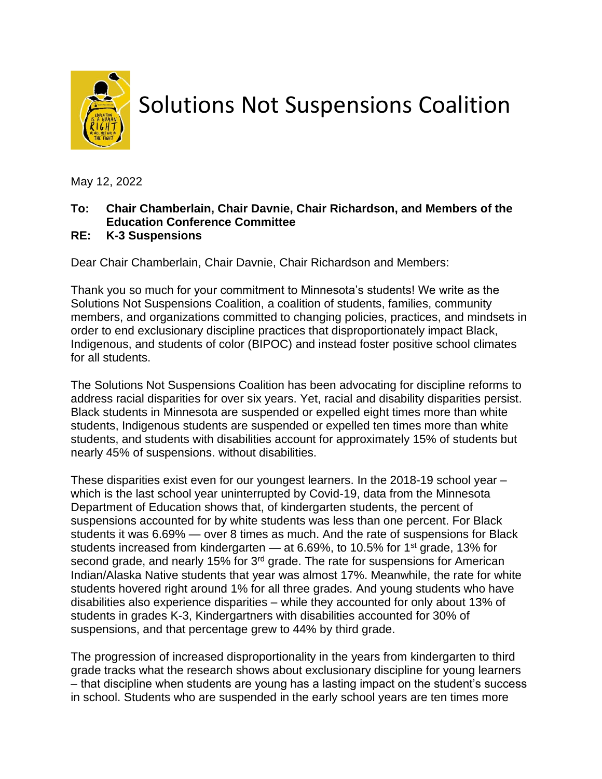

## Solutions Not Suspensions Coalition

May 12, 2022

## **To: Chair Chamberlain, Chair Davnie, Chair Richardson, and Members of the Education Conference Committee**

## **RE: K-3 Suspensions**

Dear Chair Chamberlain, Chair Davnie, Chair Richardson and Members:

Thank you so much for your commitment to Minnesota's students! We write as the Solutions Not Suspensions Coalition, a coalition of students, families, community members, and organizations committed to changing policies, practices, and mindsets in order to end exclusionary discipline practices that disproportionately impact Black, Indigenous, and students of color (BIPOC) and instead foster positive school climates for all students.

The Solutions Not Suspensions Coalition has been advocating for discipline reforms to address racial disparities for over six years. Yet, racial and disability disparities persist. Black students in Minnesota are suspended or expelled eight times more than white students, Indigenous students are suspended or expelled ten times more than white students, and students with disabilities account for approximately 15% of students but nearly 45% of suspensions. without disabilities.

These disparities exist even for our youngest learners. In the 2018-19 school year – which is the last school year uninterrupted by Covid-19, data from the Minnesota Department of Education shows that, of kindergarten students, the percent of suspensions accounted for by white students was less than one percent. For Black students it was 6.69% — over 8 times as much. And the rate of suspensions for Black students increased from kindergarten  $-$  at 6.69%, to 10.5% for 1<sup>st</sup> grade, 13% for second grade, and nearly 15% for 3<sup>rd</sup> grade. The rate for suspensions for American Indian/Alaska Native students that year was almost 17%. Meanwhile, the rate for white students hovered right around 1% for all three grades. And young students who have disabilities also experience disparities – while they accounted for only about 13% of students in grades K-3, Kindergartners with disabilities accounted for 30% of suspensions, and that percentage grew to 44% by third grade.

The progression of increased disproportionality in the years from kindergarten to third grade tracks what the research shows about exclusionary discipline for young learners – that discipline when students are young has a lasting impact on the student's success in school. Students who are suspended in the early school years are ten times more